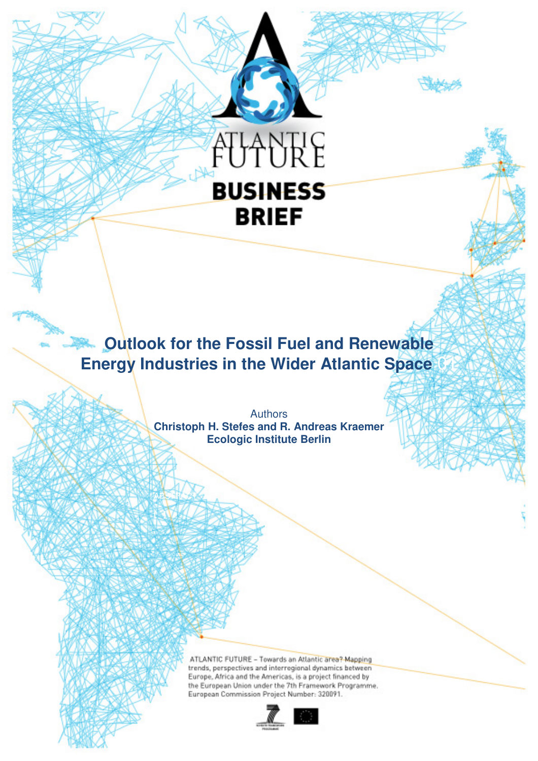

# **Outlook for the Fossil Fuel and Renewable Energy Industries in the Wider Atlantic Space**

Authors **Christoph H. Stefes and R. Andreas Kraemer Ecologic Institute Berlin** 

**ABSTRACT** 

**[ ]** 

ATLANTIC FUTURE - Towards an Atlantic area? Mapping trends, perspectives and interregional dynamics between Europe, Africa and the Americas, is a project financed by the European Union under the 7th Framework Programme. European Commission Project Number: 320091.

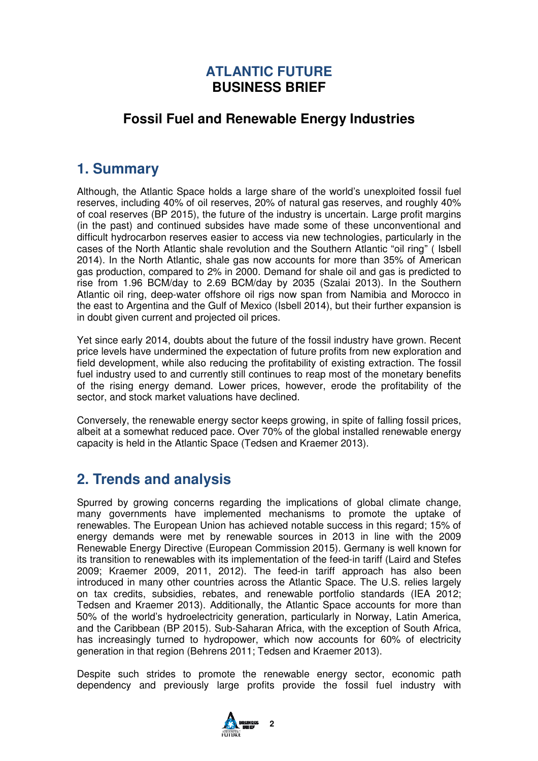### **ATLANTIC FUTURE BUSINESS BRIEF**

### **Fossil Fuel and Renewable Energy Industries**

## **1. Summary**

Although, the Atlantic Space holds a large share of the world's unexploited fossil fuel reserves, including 40% of oil reserves, 20% of natural gas reserves, and roughly 40% of coal reserves (BP 2015), the future of the industry is uncertain. Large profit margins (in the past) and continued subsides have made some of these unconventional and difficult hydrocarbon reserves easier to access via new technologies, particularly in the cases of the North Atlantic shale revolution and the Southern Atlantic "oil ring" ( Isbell 2014). In the North Atlantic, shale gas now accounts for more than 35% of American gas production, compared to 2% in 2000. Demand for shale oil and gas is predicted to rise from 1.96 BCM/day to 2.69 BCM/day by 2035 (Szalai 2013). In the Southern Atlantic oil ring, deep-water offshore oil rigs now span from Namibia and Morocco in the east to Argentina and the Gulf of Mexico (Isbell 2014), but their further expansion is in doubt given current and projected oil prices.

Yet since early 2014, doubts about the future of the fossil industry have grown. Recent price levels have undermined the expectation of future profits from new exploration and field development, while also reducing the profitability of existing extraction. The fossil fuel industry used to and currently still continues to reap most of the monetary benefits of the rising energy demand. Lower prices, however, erode the profitability of the sector, and stock market valuations have declined.

Conversely, the renewable energy sector keeps growing, in spite of falling fossil prices, albeit at a somewhat reduced pace. Over 70% of the global installed renewable energy capacity is held in the Atlantic Space (Tedsen and Kraemer 2013).

# **2. Trends and analysis**

Spurred by growing concerns regarding the implications of global climate change, many governments have implemented mechanisms to promote the uptake of renewables. The European Union has achieved notable success in this regard; 15% of energy demands were met by renewable sources in 2013 in line with the 2009 Renewable Energy Directive (European Commission 2015). Germany is well known for its transition to renewables with its implementation of the feed-in tariff (Laird and Stefes 2009; Kraemer 2009, 2011, 2012). The feed-in tariff approach has also been introduced in many other countries across the Atlantic Space. The U.S. relies largely on tax credits, subsidies, rebates, and renewable portfolio standards (IEA 2012; Tedsen and Kraemer 2013). Additionally, the Atlantic Space accounts for more than 50% of the world's hydroelectricity generation, particularly in Norway, Latin America, and the Caribbean (BP 2015). Sub-Saharan Africa, with the exception of South Africa, has increasingly turned to hydropower, which now accounts for 60% of electricity generation in that region (Behrens 2011; Tedsen and Kraemer 2013).

Despite such strides to promote the renewable energy sector, economic path dependency and previously large profits provide the fossil fuel industry with

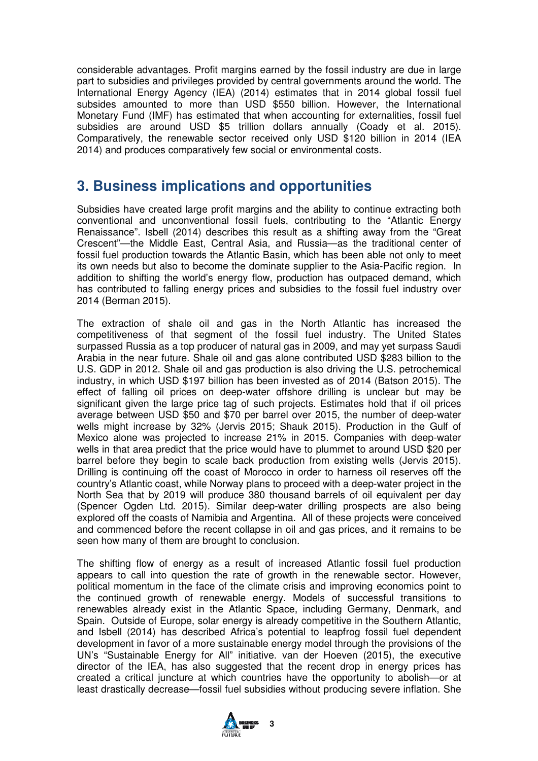considerable advantages. Profit margins earned by the fossil industry are due in large part to subsidies and privileges provided by central governments around the world. The International Energy Agency (IEA) (2014) estimates that in 2014 global fossil fuel subsides amounted to more than USD \$550 billion. However, the International Monetary Fund (IMF) has estimated that when accounting for externalities, fossil fuel subsidies are around USD \$5 trillion dollars annually (Coady et al. 2015). Comparatively, the renewable sector received only USD \$120 billion in 2014 (IEA 2014) and produces comparatively few social or environmental costs.

# **3. Business implications and opportunities**

Subsidies have created large profit margins and the ability to continue extracting both conventional and unconventional fossil fuels, contributing to the "Atlantic Energy Renaissance". Isbell (2014) describes this result as a shifting away from the "Great Crescent"—the Middle East, Central Asia, and Russia—as the traditional center of fossil fuel production towards the Atlantic Basin, which has been able not only to meet its own needs but also to become the dominate supplier to the Asia-Pacific region. In addition to shifting the world's energy flow, production has outpaced demand, which has contributed to falling energy prices and subsidies to the fossil fuel industry over 2014 (Berman 2015).

The extraction of shale oil and gas in the North Atlantic has increased the competitiveness of that segment of the fossil fuel industry. The United States surpassed Russia as a top producer of natural gas in 2009, and may yet surpass Saudi Arabia in the near future. Shale oil and gas alone contributed USD \$283 billion to the U.S. GDP in 2012. Shale oil and gas production is also driving the U.S. petrochemical industry, in which USD \$197 billion has been invested as of 2014 (Batson 2015). The effect of falling oil prices on deep-water offshore drilling is unclear but may be significant given the large price tag of such projects. Estimates hold that if oil prices average between USD \$50 and \$70 per barrel over 2015, the number of deep-water wells might increase by 32% (Jervis 2015; Shauk 2015). Production in the Gulf of Mexico alone was projected to increase 21% in 2015. Companies with deep-water wells in that area predict that the price would have to plummet to around USD \$20 per barrel before they begin to scale back production from existing wells (Jervis 2015). Drilling is continuing off the coast of Morocco in order to harness oil reserves off the country's Atlantic coast, while Norway plans to proceed with a deep-water project in the North Sea that by 2019 will produce 380 thousand barrels of oil equivalent per day (Spencer Ogden Ltd. 2015). Similar deep-water drilling prospects are also being explored off the coasts of Namibia and Argentina. All of these projects were conceived and commenced before the recent collapse in oil and gas prices, and it remains to be seen how many of them are brought to conclusion.

The shifting flow of energy as a result of increased Atlantic fossil fuel production appears to call into question the rate of growth in the renewable sector. However, political momentum in the face of the climate crisis and improving economics point to the continued growth of renewable energy. Models of successful transitions to renewables already exist in the Atlantic Space, including Germany, Denmark, and Spain. Outside of Europe, solar energy is already competitive in the Southern Atlantic, and Isbell (2014) has described Africa's potential to leapfrog fossil fuel dependent development in favor of a more sustainable energy model through the provisions of the UN's "Sustainable Energy for All" initiative. van der Hoeven (2015), the executive director of the IEA, has also suggested that the recent drop in energy prices has created a critical juncture at which countries have the opportunity to abolish—or at least drastically decrease—fossil fuel subsidies without producing severe inflation. She

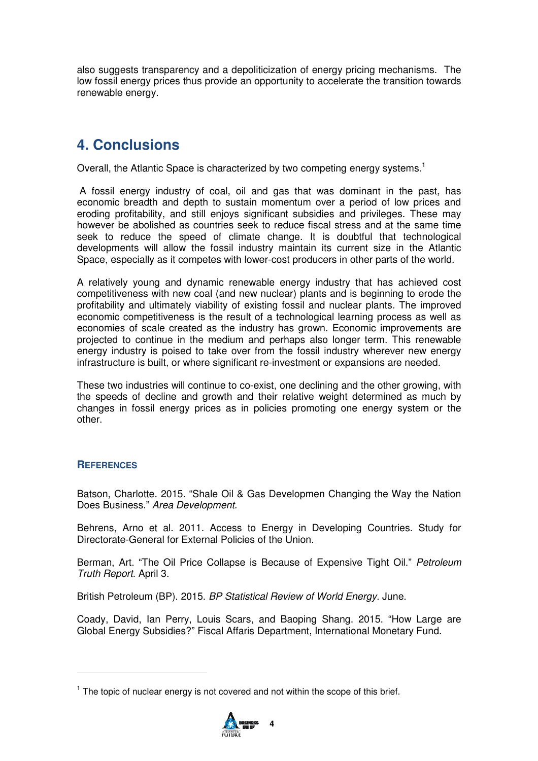also suggests transparency and a depoliticization of energy pricing mechanisms. The low fossil energy prices thus provide an opportunity to accelerate the transition towards renewable energy.

# **4. Conclusions**

Overall, the Atlantic Space is characterized by two competing energy systems.<sup>1</sup>

 A fossil energy industry of coal, oil and gas that was dominant in the past, has economic breadth and depth to sustain momentum over a period of low prices and eroding profitability, and still enjoys significant subsidies and privileges. These may however be abolished as countries seek to reduce fiscal stress and at the same time seek to reduce the speed of climate change. It is doubtful that technological developments will allow the fossil industry maintain its current size in the Atlantic Space, especially as it competes with lower-cost producers in other parts of the world.

A relatively young and dynamic renewable energy industry that has achieved cost competitiveness with new coal (and new nuclear) plants and is beginning to erode the profitability and ultimately viability of existing fossil and nuclear plants. The improved economic competitiveness is the result of a technological learning process as well as economies of scale created as the industry has grown. Economic improvements are projected to continue in the medium and perhaps also longer term. This renewable energy industry is poised to take over from the fossil industry wherever new energy infrastructure is built, or where significant re-investment or expansions are needed.

These two industries will continue to co-exist, one declining and the other growing, with the speeds of decline and growth and their relative weight determined as much by changes in fossil energy prices as in policies promoting one energy system or the other.

#### **REFERENCES**

Batson, Charlotte. 2015. "Shale Oil & Gas Developmen Changing the Way the Nation Does Business." Area Development.

Behrens, Arno et al. 2011. Access to Energy in Developing Countries. Study for Directorate-General for External Policies of the Union.

Berman, Art. "The Oil Price Collapse is Because of Expensive Tight Oil." Petroleum Truth Report. April 3.

British Petroleum (BP). 2015. BP Statistical Review of World Energy. June.

Coady, David, Ian Perry, Louis Scars, and Baoping Shang. 2015. "How Large are Global Energy Subsidies?" Fiscal Affaris Department, International Monetary Fund.

 $1$  The topic of nuclear energy is not covered and not within the scope of this brief.

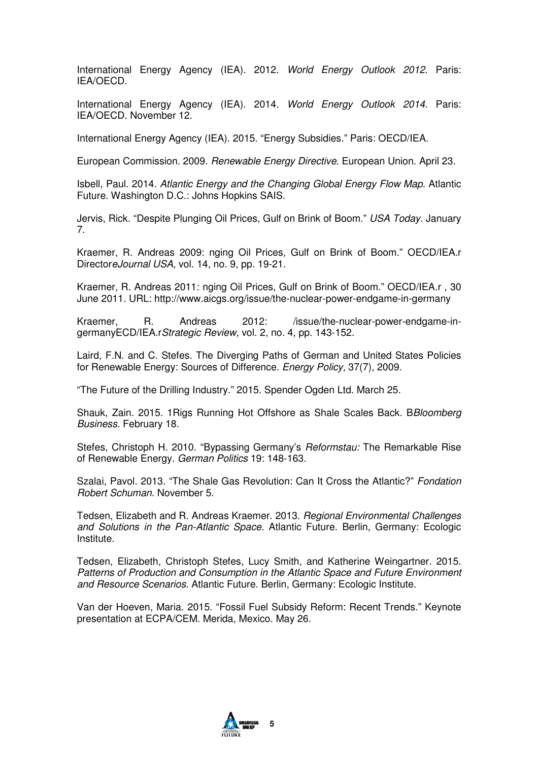International Energy Agency (IEA). 2012. World Energy Outlook 2012. Paris: IEA/OECD.

International Energy Agency (IEA). 2014. World Energy Outlook 2014. Paris: IEA/OECD. November 12.

International Energy Agency (IEA). 2015. "Energy Subsidies." Paris: OECD/IEA.

European Commission. 2009. Renewable Energy Directive. European Union. April 23.

Isbell, Paul. 2014. Atlantic Energy and the Changing Global Energy Flow Map. Atlantic Future. Washington D.C.: Johns Hopkins SAIS.

Jervis, Rick. "Despite Plunging Oil Prices, Gulf on Brink of Boom." USA Today, January 7.

Kraemer, R. Andreas 2009: nging Oil Prices, Gulf on Brink of Boom." OECD/IEA.r DirectoreJournal USA, vol. 14, no. 9, pp. 19-21.

Kraemer, R. Andreas 2011: nging Oil Prices, Gulf on Brink of Boom." OECD/IEA.r , 30 June 2011. URL: http://www.aicgs.org/issue/the-nuclear-power-endgame-in-germany

Kraemer, R. Andreas 2012: /issue/the-nuclear-power-endgame-ingermanyECD/IEA.rStrategic Review, vol. 2, no. 4, pp. 143-152.

Laird, F.N. and C. Stefes. The Diverging Paths of German and United States Policies for Renewable Energy: Sources of Difference. Energy Policy, 37(7), 2009.

"The Future of the Drilling Industry." 2015. Spender Ogden Ltd. March 25.

Shauk, Zain. 2015. 1Rigs Running Hot Offshore as Shale Scales Back, B*Bloomberg* Business. February 18.

Stefes, Christoph H. 2010. "Bypassing Germany's *Reformstau:* The Remarkable Rise of Renewable Energy. German Politics 19: 148-163.

Szalai, Pavol. 2013. "The Shale Gas Revolution: Can It Cross the Atlantic?" Fondation Robert Schuman. November 5.

Tedsen, Elizabeth and R. Andreas Kraemer. 2013. Regional Environmental Challenges and Solutions in the Pan-Atlantic Space. Atlantic Future. Berlin, Germany: Ecologic Institute.

Tedsen, Elizabeth, Christoph Stefes, Lucy Smith, and Katherine Weingartner. 2015. Patterns of Production and Consumption in the Atlantic Space and Future Environment and Resource Scenarios. Atlantic Future. Berlin, Germany: Ecologic Institute.

Van der Hoeven, Maria. 2015. "Fossil Fuel Subsidy Reform: Recent Trends." Keynote presentation at ECPA/CEM. Merida, Mexico. May 26.

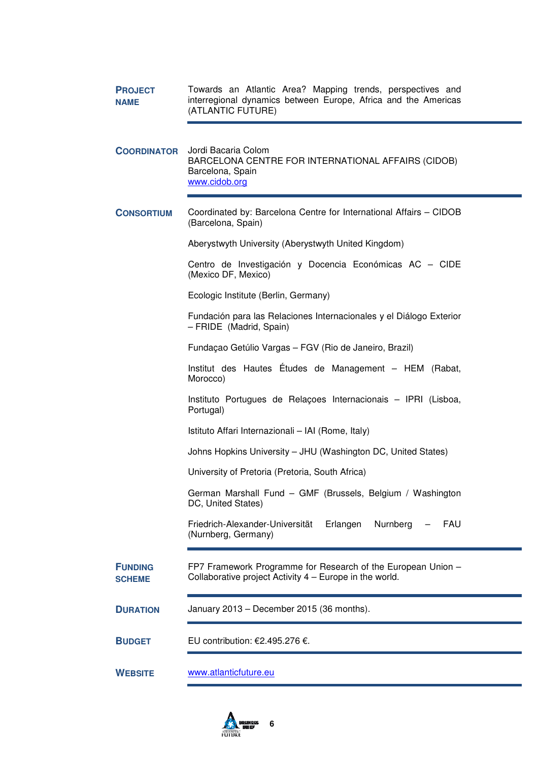| <b>PROJECT</b><br><b>NAME</b>   | Towards an Atlantic Area? Mapping trends, perspectives and<br>interregional dynamics between Europe, Africa and the Americas<br>(ATLANTIC FUTURE) |
|---------------------------------|---------------------------------------------------------------------------------------------------------------------------------------------------|
| <b>COORDINATOR</b>              | Jordi Bacaria Colom<br>BARCELONA CENTRE FOR INTERNATIONAL AFFAIRS (CIDOB)<br>Barcelona, Spain<br>www.cidob.org                                    |
| <b>CONSORTIUM</b>               | Coordinated by: Barcelona Centre for International Affairs - CIDOB<br>(Barcelona, Spain)                                                          |
|                                 | Aberystwyth University (Aberystwyth United Kingdom)                                                                                               |
|                                 | Centro de Investigación y Docencia Económicas AC - CIDE<br>(Mexico DF, Mexico)                                                                    |
|                                 | Ecologic Institute (Berlin, Germany)                                                                                                              |
|                                 | Fundación para las Relaciones Internacionales y el Diálogo Exterior<br>- FRIDE (Madrid, Spain)                                                    |
|                                 | Fundaçao Getúlio Vargas - FGV (Rio de Janeiro, Brazil)                                                                                            |
|                                 | Institut des Hautes Études de Management - HEM (Rabat,<br>Morocco)                                                                                |
|                                 | Instituto Portugues de Relações Internacionais - IPRI (Lisboa,<br>Portugal)                                                                       |
|                                 | Istituto Affari Internazionali - IAI (Rome, Italy)                                                                                                |
|                                 | Johns Hopkins University - JHU (Washington DC, United States)                                                                                     |
|                                 | University of Pretoria (Pretoria, South Africa)                                                                                                   |
|                                 | German Marshall Fund - GMF (Brussels, Belgium / Washington<br>DC, United States)                                                                  |
|                                 | Friedrich-Alexander-Universität<br>Erlangen<br>Nurnberg<br>FAU<br>(Nurnberg, Germany)                                                             |
| <b>FUNDING</b><br><b>SCHEME</b> | FP7 Framework Programme for Research of the European Union -<br>Collaborative project Activity 4 – Europe in the world.                           |
| <b>DURATION</b>                 | January 2013 - December 2015 (36 months).                                                                                                         |
| <b>BUDGET</b>                   | EU contribution: €2.495.276 €.                                                                                                                    |
| <b>WEBSITE</b>                  | www.atlanticfuture.eu                                                                                                                             |